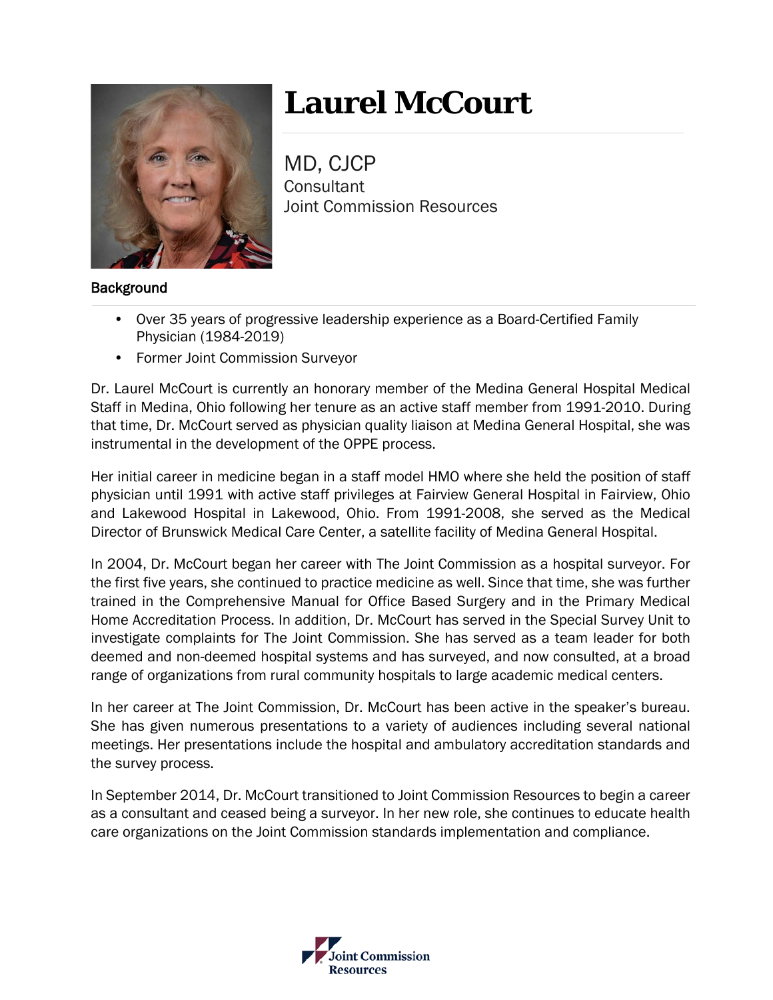

# **Laurel McCourt**

MD, CJCP **Consultant** Joint Commission Resources

## **Background**

- Over 35 years of progressive leadership experience as a Board-Certified Family Physician (1984-2019)
- Former Joint Commission Surveyor

Dr. Laurel McCourt is currently an honorary member of the Medina General Hospital Medical Staff in Medina, Ohio following her tenure as an active staff member from 1991-2010. During that time, Dr. McCourt served as physician quality liaison at Medina General Hospital, she was instrumental in the development of the OPPE process.

Her initial career in medicine began in a staff model HMO where she held the position of staff physician until 1991 with active staff privileges at Fairview General Hospital in Fairview, Ohio and Lakewood Hospital in Lakewood, Ohio. From 1991-2008, she served as the Medical Director of Brunswick Medical Care Center, a satellite facility of Medina General Hospital.

In 2004, Dr. McCourt began her career with The Joint Commission as a hospital surveyor. For the first five years, she continued to practice medicine as well. Since that time, she was further trained in the Comprehensive Manual for Office Based Surgery and in the Primary Medical Home Accreditation Process. In addition, Dr. McCourt has served in the Special Survey Unit to investigate complaints for The Joint Commission. She has served as a team leader for both deemed and non-deemed hospital systems and has surveyed, and now consulted, at a broad range of organizations from rural community hospitals to large academic medical centers.

In her career at The Joint Commission, Dr. McCourt has been active in the speaker's bureau. She has given numerous presentations to a variety of audiences including several national meetings. Her presentations include the hospital and ambulatory accreditation standards and the survey process.

In September 2014, Dr. McCourt transitioned to Joint Commission Resources to begin a career as a consultant and ceased being a surveyor. In her new role, she continues to educate health care organizations on the Joint Commission standards implementation and compliance.